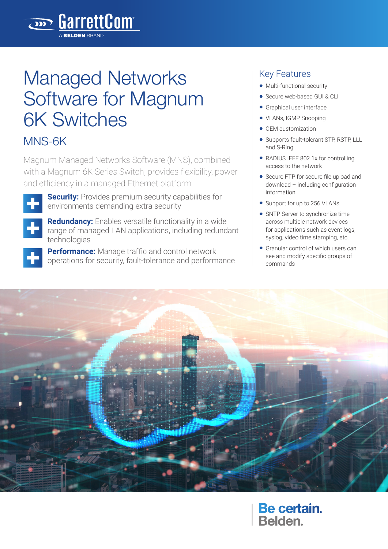# Managed Networks Software for Magnum 6K Switches

**BarrettCom** 

MNS-6K

Magnum Managed Networks Software (MNS), combined with a Magnum 6K-Series Switch, provides flexibility, power and efficiency in a managed Ethernet platform.



**Security:** Provides premium security capabilities for environments demanding extra security

**Redundancy:** Enables versatile functionality in a wide range of managed LAN applications, including redundant technologies

**Performance:** Manage traffic and control network operations for security, fault-tolerance and performance

#### Key Features

- Multi-functional security
- Secure web-based GUI & CLI
- Graphical user interface
- VLANs, IGMP Snooping
- OEM customization
- Supports fault-tolerant STP, RSTP, LLL and S-Ring
- RADIUS IEEE 802.1x for controlling access to the network
- Secure FTP for secure file upload and download – including configuration information
- Support for up to 256 VLANs
- SNTP Server to synchronize time across multiple network devices for applications such as event logs, syslog, video time stamping, etc.
- Granular control of which users can see and modify specific groups of commands